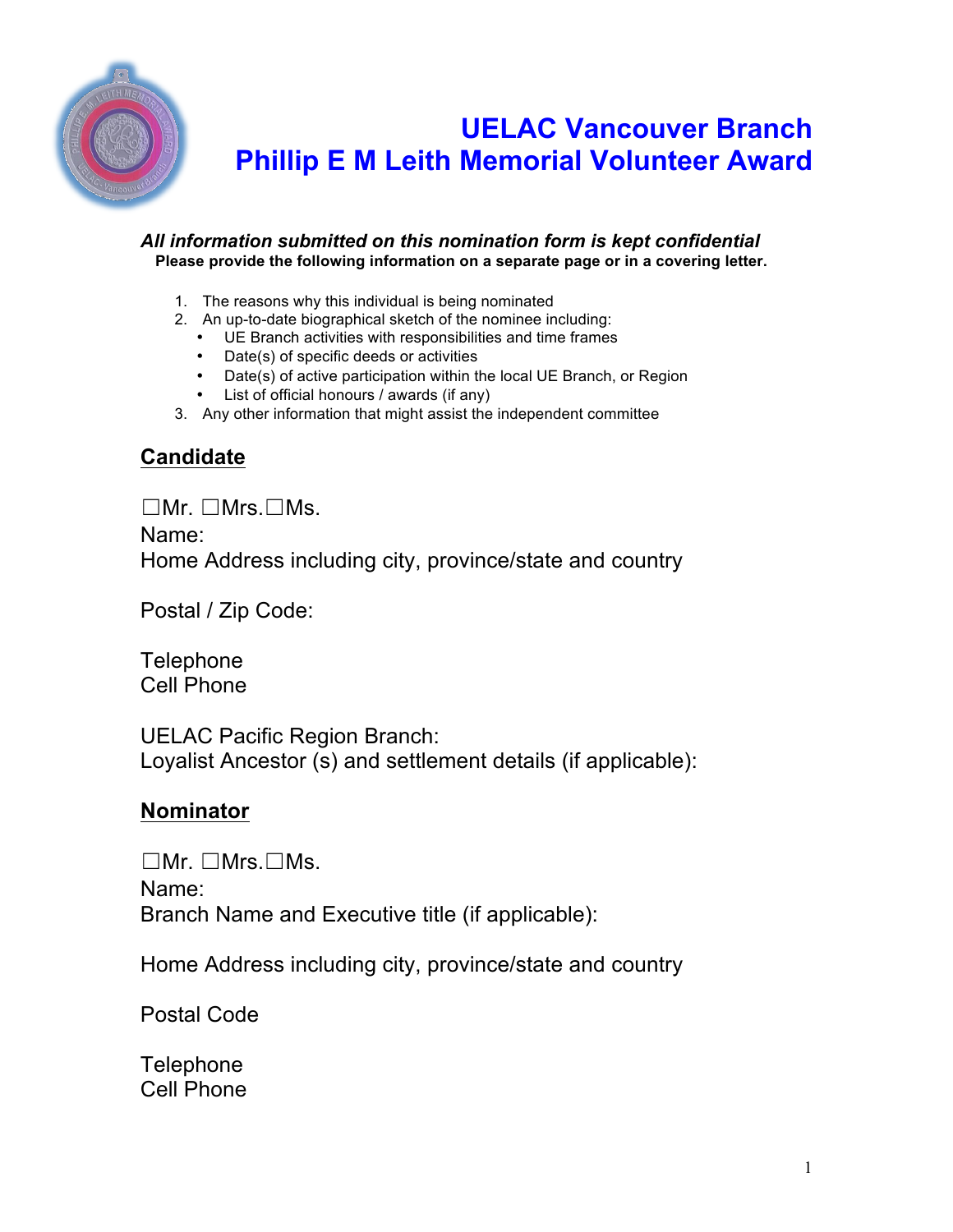

# **UELAC Vancouver Branch Phillip E M Leith Memorial Volunteer Award**

#### *All information submitted on this nomination form is kept confidential* **Please provide the following information on a separate page or in a covering letter.**

- 1. The reasons why this individual is being nominated
- 2. An up-to-date biographical sketch of the nominee including:
	- UE Branch activities with responsibilities and time frames
	- Date(s) of specific deeds or activities
	- Date(s) of active participation within the local UE Branch, or Region
	- List of official honours / awards (if any)
- 3. Any other information that might assist the independent committee

## **Candidate**

☐Mr. ☐Mrs.☐Ms.

Name: Home Address including city, province/state and country

Postal / Zip Code:

**Telephone** Cell Phone

UELAC Pacific Region Branch: Loyalist Ancestor (s) and settlement details (if applicable):

## **Nominator**

☐Mr. ☐Mrs.☐Ms. Name: Branch Name and Executive title (if applicable):

Home Address including city, province/state and country

Postal Code

**Telephone** Cell Phone